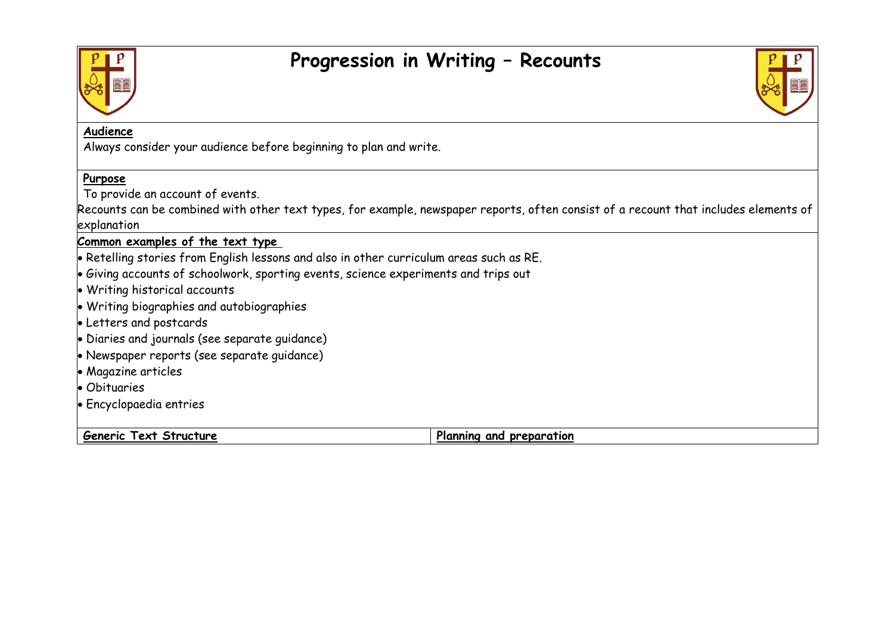

## **Progression in Writing – Recounts**



## **Audience**

Always consider your audience before beginning to plan and write.

## **Purpose**

To provide an account of events.

Recounts can be combined with other text types, for example, newspaper reports, often consist of a recount that includes elements of explanation

## **Common examples of the text type**

- Retelling stories from English lessons and also in other curriculum areas such as RE.
- Giving accounts of schoolwork, sporting events, science experiments and trips out
- Writing historical accounts
- Writing biographies and autobiographies
- Letters and postcards
- Diaries and journals (see separate guidance)
- Newspaper reports (see separate guidance)
- Magazine articles
- Obituaries
- Encyclopaedia entries

| Generic<br>. ext<br>Structure | Planning<br>----<br>preparation<br>anc |
|-------------------------------|----------------------------------------|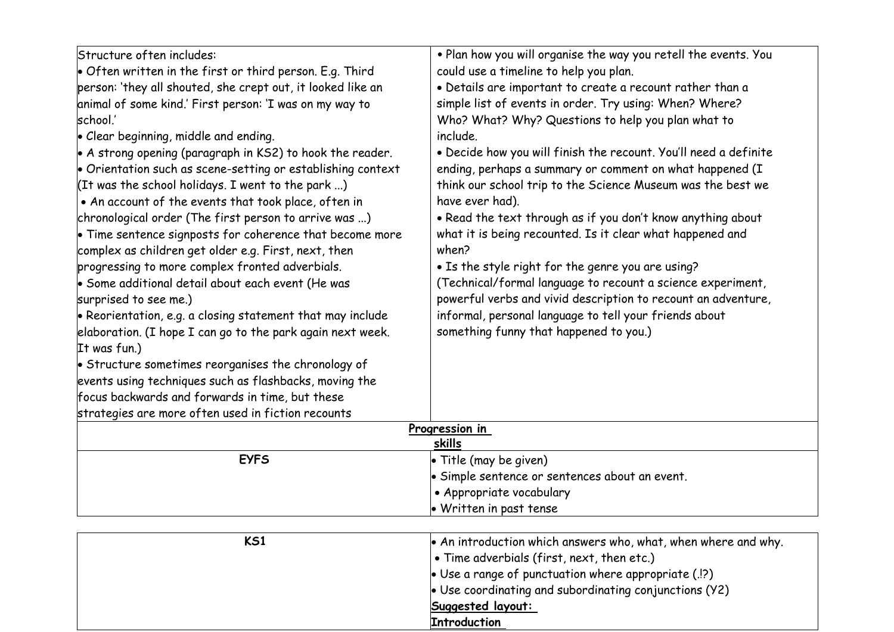| Structure often includes:                                          | . Plan how you will organise the way you retell the events. You  |
|--------------------------------------------------------------------|------------------------------------------------------------------|
| $\bullet$ Often written in the first or third person. E.g. Third   | could use a timeline to help you plan.                           |
| person: 'they all shouted, she crept out, it looked like an        | · Details are important to create a recount rather than a        |
| animal of some kind.' First person: 'I was on my way to            | simple list of events in order. Try using: When? Where?          |
| school.'                                                           | Who? What? Why? Questions to help you plan what to               |
| • Clear beginning, middle and ending.                              | include.                                                         |
| $\bullet$ A strong opening (paragraph in KS2) to hook the reader.  | . Decide how you will finish the recount. You'll need a definite |
| • Orientation such as scene-setting or establishing context        | ending, perhaps a summary or comment on what happened (I         |
| (It was the school holidays. I went to the park )                  | think our school trip to the Science Museum was the best we      |
| . An account of the events that took place, often in               | have ever had).                                                  |
| chronological order (The first person to arrive was )              | . Read the text through as if you don't know anything about      |
| • Time sentence signposts for coherence that become more           | what it is being recounted. Is it clear what happened and        |
| complex as children get older e.g. First, next, then               | when?                                                            |
| progressing to more complex fronted adverbials.                    | • Is the style right for the genre you are using?                |
| $\bullet$ Some additional detail about each event (He was          | (Technical/formal language to recount a science experiment,      |
| surprised to see me.)                                              | powerful verbs and vivid description to recount an adventure,    |
| $\bullet$ Reorientation, e.g. a closing statement that may include | informal, personal language to tell your friends about           |
| elaboration. (I hope I can go to the park again next week.         | something funny that happened to you.)                           |
| It was fun.)                                                       |                                                                  |
| Structure sometimes reorganises the chronology of                  |                                                                  |
| events using techniques such as flashbacks, moving the             |                                                                  |
| focus backwards and forwards in time, but these                    |                                                                  |
| strategies are more often used in fiction recounts                 |                                                                  |
|                                                                    | Progression in                                                   |
|                                                                    | skills                                                           |
| <b>EYFS</b>                                                        | $\bullet$ Title (may be given)                                   |
|                                                                    | Simple sentence or sentences about an event.                     |
|                                                                    | • Appropriate vocabulary                                         |
|                                                                    | • Written in past tense                                          |

| KS1 | $\bullet$ An introduction which answers who, what, when where and why.<br>$\bullet$ Time adverbials (first, next, then etc.) |
|-----|------------------------------------------------------------------------------------------------------------------------------|
|     | • Use a range of punctuation where appropriate $($ !?)                                                                       |
|     | $\bullet$ Use coordinating and subordinating conjunctions (Y2)                                                               |
|     | Suggested layout:                                                                                                            |
|     | <b>Introduction</b>                                                                                                          |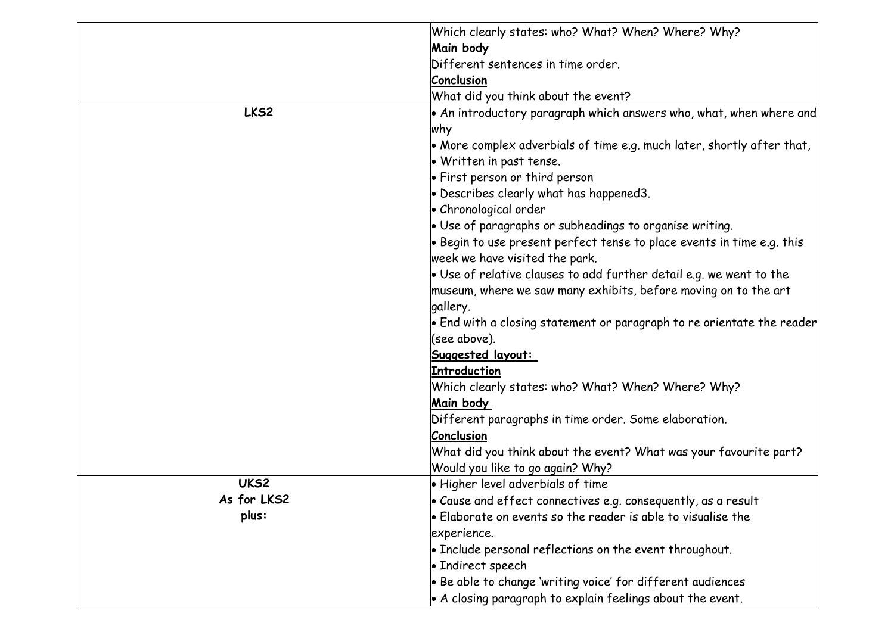|             | Which clearly states: who? What? When? Where? Why?                             |
|-------------|--------------------------------------------------------------------------------|
|             | Main body                                                                      |
|             | Different sentences in time order.                                             |
|             | Conclusion                                                                     |
|             | What did you think about the event?                                            |
| LKS2        | $\bullet$ An introductory paragraph which answers who, what, when where and    |
|             | why                                                                            |
|             | $\bullet$ More complex adverbials of time e.g. much later, shortly after that, |
|             | • Written in past tense.                                                       |
|             | • First person or third person                                                 |
|             | • Describes clearly what has happened3.                                        |
|             |                                                                                |
|             | • Chronological order                                                          |
|             | $\bullet$ Use of paragraphs or subheadings to organise writing.                |
|             | $\bullet$ Begin to use present perfect tense to place events in time e.g. this |
|             | week we have visited the park.                                                 |
|             | $\bullet$ Use of relative clauses to add further detail e.g. we went to the    |
|             | museum, where we saw many exhibits, before moving on to the art                |
|             | gallery.                                                                       |
|             | $\bullet$ End with a closing statement or paragraph to re orientate the reader |
|             | (see above).                                                                   |
|             | Suggested layout:                                                              |
|             | Introduction                                                                   |
|             | Which clearly states: who? What? When? Where? Why?                             |
|             | Main body                                                                      |
|             | Different paragraphs in time order. Some elaboration.                          |
|             | Conclusion                                                                     |
|             | What did you think about the event? What was your favourite part?              |
|             | Would you like to go again? Why?                                               |
| UKS2        | · Higher level adverbials of time                                              |
| As for LKS2 | $\bullet$ Cause and effect connectives e.g. consequently, as a result          |
| plus:       | $\bullet$ Elaborate on events so the reader is able to visualise the           |
|             | experience.                                                                    |
|             | • Include personal reflections on the event throughout.                        |
|             | • Indirect speech                                                              |
|             | • Be able to change 'writing voice' for different audiences                    |
|             | $\bullet$ A closing paragraph to explain feelings about the event.             |